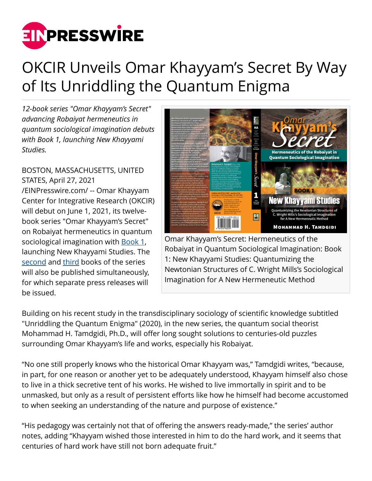

## OKCIR Unveils Omar Khayyam's Secret By Way of Its Unriddling the Quantum Enigma

*12-book series "Omar Khayyam's Secret" advancing Robaiyat hermeneutics in quantum sociological imagination debuts with Book 1, launching New Khayyami Studies.*

BOSTON, MASSACHUSETTS, UNITED STATES, April 27, 2021 [/EINPresswire.com/](http://www.einpresswire.com) -- Omar Khayyam Center for Integrative Research (OKCIR) will debut on June 1, 2021, its twelvebook series "Omar Khayyam's Secret" on Robaiyat hermeneutics in quantum sociological imagination with **[Book 1](https://www.okcir.com/product/omar-khayyams-secret-hermeneutics-of-the-robaiyat-in-quantum-sociological-imagination-book-1-new-khayyami-studies-quantumizing-the-newtonian-structures-of-c-wright-millss-sociol/)**, launching New Khayyami Studies. The [second](https://www.okcir.com/product/omar-khayyams-secret-hermeneutics-of-the-robaiyat-in-quantum-sociological-imagination-book-2-khayyami-millennium-reporting-the-discovery-and-the-reconfirmation-of-the-true-dates-of-birth/) and [third](https://www.okcir.com/product/omar-khayyams-secret-hermeneutics-of-the-robaiyat-in-quantum-sociological-imagination-book-3-khayyami-astronomy-how-omar-khayyams-newly-discovered-true-birth-date-horoscope-revea/) books of the series will also be published simultaneously, for which separate press releases will be issued.



Omar Khayyam's Secret: Hermeneutics of the Robaiyat in Quantum Sociological Imagination: Book 1: New Khayyami Studies: Quantumizing the Newtonian Structures of C. Wright Mills's Sociological Imagination for A New Hermeneutic Method

Building on his recent study in the transdisciplinary sociology of scientific knowledge subtitled "Unriddling the Quantum Enigma" (2020), in the new series, the quantum social theorist Mohammad H. Tamdgidi, Ph.D., will offer long sought solutions to centuries-old puzzles surrounding Omar Khayyam's life and works, especially his Robaiyat.

"No one still properly knows who the historical Omar Khayyam was," Tamdgidi writes, "because, in part, for one reason or another yet to be adequately understood, Khayyam himself also chose to live in a thick secretive tent of his works. He wished to live immortally in spirit and to be unmasked, but only as a result of persistent efforts like how he himself had become accustomed to when seeking an understanding of the nature and purpose of existence."

"His pedagogy was certainly not that of offering the answers ready-made," the series' author notes, adding "Khayyam wished those interested in him to do the hard work, and it seems that centuries of hard work have still not born adequate fruit."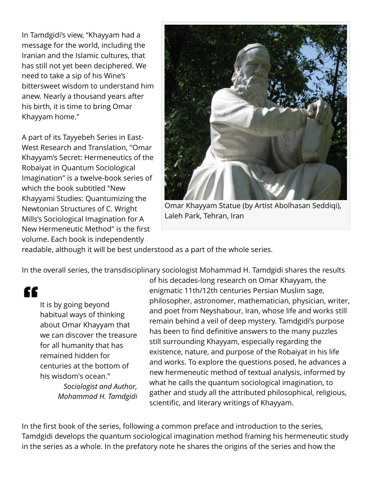In Tamdgidi's view, "Khayyam had a message for the world, including the Iranian and the Islamic cultures, that has still not yet been deciphered. We need to take a sip of his Wine's bittersweet wisdom to understand him anew. Nearly a thousand years after his birth, it is time to bring Omar Khayyam home."

A part of its Tayyebeh Series in East-West Research and Translation, "Omar Khayyam's Secret: Hermeneutics of the Robaiyat in Quantum Sociological Imagination" is a twelve-book series of which the book subtitled "New Khayyami Studies: Quantumizing the Newtonian Structures of C. Wright Mills's Sociological Imagination for A New Hermeneutic Method" is the first volume. Each book is independently



Omar Khayyam Statue (by Artist Abolhasan Seddiqi), Laleh Park, Tehran, Iran

readable, although it will be best understood as a part of the whole series.

In the overall series, the transdisciplinary sociologist Mohammad H. Tamdgidi shares the results

"

It is by going beyond habitual ways of thinking about Omar Khayyam that we can discover the treasure for all humanity that has remained hidden for centuries at the bottom of his wisdom's ocean." *Sociologist and Author, Mohammad H. Tamdgidi*

of his decades-long research on Omar Khayyam, the enigmatic 11th/12th centuries Persian Muslim sage, philosopher, astronomer, mathematician, physician, writer, and poet from Neyshabour, Iran, whose life and works still remain behind a veil of deep mystery. Tamdgidi's purpose has been to find definitive answers to the many puzzles still surrounding Khayyam, especially regarding the existence, nature, and purpose of the Robaiyat in his life and works. To explore the questions posed, he advances a new hermeneutic method of textual analysis, informed by what he calls the quantum sociological imagination, to gather and study all the attributed philosophical, religious, scientific, and literary writings of Khayyam.

In the first book of the series, following a common preface and introduction to the series, Tamdgidi develops the quantum sociological imagination method framing his hermeneutic study in the series as a whole. In the prefatory note he shares the origins of the series and how the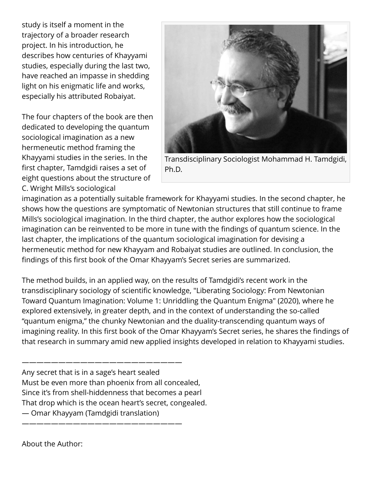study is itself a moment in the trajectory of a broader research project. In his introduction, he describes how centuries of Khayyami studies, especially during the last two, have reached an impasse in shedding light on his enigmatic life and works, especially his attributed Robaiyat.

The four chapters of the book are then dedicated to developing the quantum sociological imagination as a new hermeneutic method framing the Khayyami studies in the series. In the first chapter, Tamdgidi raises a set of eight questions about the structure of C. Wright Mills's sociological



Transdisciplinary Sociologist Mohammad H. Tamdgidi, Ph.D.

imagination as a potentially suitable framework for Khayyami studies. In the second chapter, he shows how the questions are symptomatic of Newtonian structures that still continue to frame Mills's sociological imagination. In the third chapter, the author explores how the sociological imagination can be reinvented to be more in tune with the findings of quantum science. In the last chapter, the implications of the quantum sociological imagination for devising a hermeneutic method for new Khayyam and Robaiyat studies are outlined. In conclusion, the findings of this first book of the Omar Khayyam's Secret series are summarized.

The method builds, in an applied way, on the results of Tamdgidi's recent work in the transdisciplinary sociology of scientific knowledge, "Liberating Sociology: From Newtonian Toward Quantum Imagination: Volume 1: Unriddling the Quantum Enigma" (2020), where he explored extensively, in greater depth, and in the context of understanding the so-called "quantum enigma," the chunky Newtonian and the duality-transcending quantum ways of imagining reality. In this first book of the Omar Khayyam's Secret series, he shares the findings of that research in summary amid new applied insights developed in relation to Khayyami studies.

Any secret that is in a sage's heart sealed Must be even more than phoenix from all concealed, Since it's from shell-hiddenness that becomes a pearl That drop which is the ocean heart's secret, congealed. — Omar Khayyam (Tamdgidi translation)

——————————————————————

——————————————————————

About the Author: